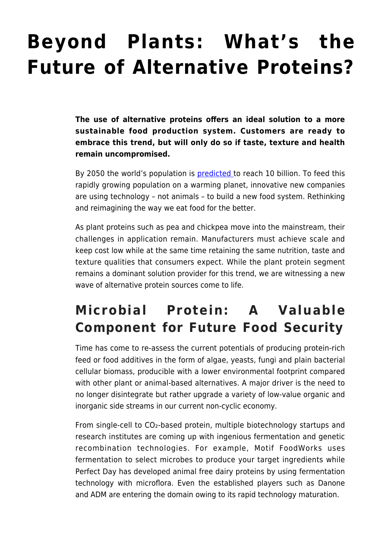## **[Beyond Plants: What's the](https://www.futurebridge.com/webinar/beyond-plants-whats-the-future-of-alternative-proteins/) [Future of Alternative Proteins?](https://www.futurebridge.com/webinar/beyond-plants-whats-the-future-of-alternative-proteins/)**

**The use of alternative proteins offers an ideal solution to a more sustainable food production system. Customers are ready to embrace this trend, but will only do so if taste, texture and health remain uncompromised.**

By 2050 the world's population is [predicted](https://www.un.org/development/desa/en/news/population/world-population-prospects-2017.html) to reach 10 billion. To feed this rapidly growing population on a warming planet, innovative new companies are using technology – not animals – to build a new food system. Rethinking and reimagining the way we eat food for the better.

As plant proteins such as pea and chickpea move into the mainstream, their challenges in application remain. Manufacturers must achieve scale and keep cost low while at the same time retaining the same nutrition, taste and texture qualities that consumers expect. While the plant protein segment remains a dominant solution provider for this trend, we are witnessing a new wave of alternative protein sources come to life.

## **Microbial Protein: A Valuable Component for Future Food Security**

Time has come to re‐assess the current potentials of producing protein‐rich feed or food additives in the form of algae, yeasts, fungi and plain bacterial cellular biomass, producible with a lower environmental footprint compared with other plant or animal-based alternatives. A major driver is the need to no longer disintegrate but rather upgrade a variety of low‐value organic and inorganic side streams in our current non‐cyclic economy.

From single-cell to CO2-based protein, multiple biotechnology startups and research institutes are coming up with ingenious fermentation and genetic recombination technologies. For example, Motif FoodWorks uses fermentation to select microbes to produce your target ingredients while Perfect Day has developed animal free dairy proteins by using fermentation technology with microflora. Even the established players such as Danone and ADM are entering the domain owing to its rapid technology maturation.